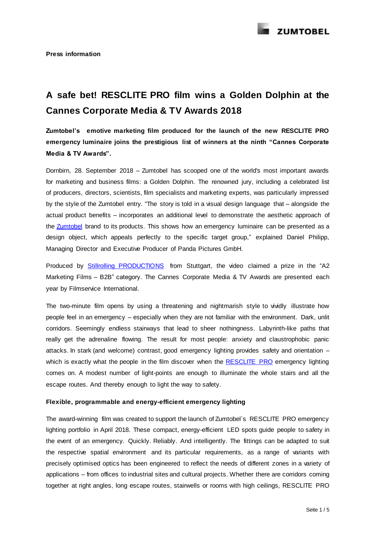

# **A safe bet! RESCLITE PRO film wins a Golden Dolphin at the Cannes Corporate Media & TV Awards 2018**

**Zumtobel's emotive marketing film produced for the launch of the new RESCLITE PRO emergency luminaire joins the prestigious list of winners at the ninth "Cannes Corporate Media & TV Awards".**

Dornbirn, 28. September 2018 – Zumtobel has scooped one of the world's most important awards for marketing and business films: a Golden Dolphin. The renowned jury, including a celebrated list of producers, directors, scientists, film specialists and marketing experts, was particularly impressed by the style of the Zumtobel entry. "The story is told in a visual design language that – alongside the actual product benefits – incorporates an additional level to demonstrate the aesthetic approach of th[e Zumtobel](https://www.zumtobel.com/com-en/) brand to its products. This shows how an emergency luminaire can be presented as a design object, which appeals perfectly to the specific target group," explained Daniel Philipp, Managing Director and Executive Producer of Panda Pictures GmbH.

Produced by [Stillrolling PRODUCTIONS](http://www.janiswillbold.com/) from Stuttgart, the video claimed a prize in the "A2 Marketing Films – B2B" category. The Cannes Corporate Media & TV Awards are presented each year by Filmservice International.

The two-minute film opens by using a threatening and nightmarish style to vividly illustrate how people feel in an emergency – especially when they are not familiar with the environment. Dark, unlit corridors. Seemingly endless stairways that lead to sheer nothingness. Labyrinth-like paths that really get the adrenaline flowing. The result for most people: anxiety and claustrophobic panic attacks. In stark (and welcome) contrast, good emergency lighting provides safety and orientation – which is exactly what the people in the film discover when the [RESCLITE PRO](https://www.zumtobel.com/com-en/products/resclite.html?) emergency lighting comes on. A modest number of light-points are enough to illuminate the whole stairs and all the escape routes. And thereby enough to light the way to safety.

# **Flexible, programmable and energy-efficient emergency lighting**

The award-winning film was created to support the launch of Zumtobel`s RESCLITE PRO emergency lighting portfolio in April 2018. These compact, energy-efficient LED spots guide people to safety in the event of an emergency. Quickly. Reliably. And intelligently. The fittings can be adapted to suit the respective spatial environment and its particular requirements, as a range of variants with precisely optimised optics has been engineered to reflect the needs of different zones in a variety of applications – from offices to industrial sites and cultural projects. Whether there are corridors coming together at right angles, long escape routes, stairwells or rooms with high ceilings, RESCLITE PRO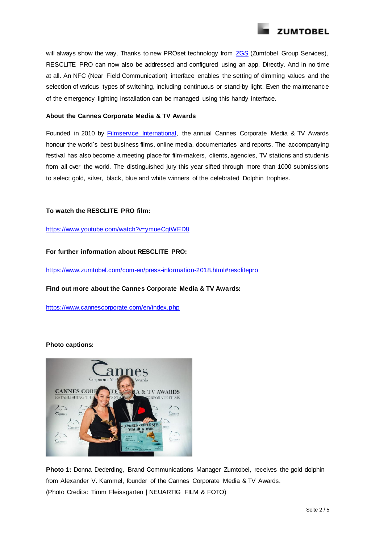

will always show the way. Thanks to new PROset technology from [ZGS](https://www.zumtobelgroup.com/en/10738.htm) (Zumtobel Group Services), RESCLITE PRO can now also be addressed and configured using an app. Directly. And in no time at all. An NFC (Near Field Communication) interface enables the setting of dimming values and the selection of various types of switching, including continuous or stand-by light. Even the maintenance of the emergency lighting installation can be managed using this handy interface.

#### **About the Cannes Corporate Media & TV Awards**

Founded in 2010 by **Filmservice International**, the annual Cannes Corporate Media & TV Awards honour the world`s best business films, online media, documentaries and reports. The accompanying festival has also become a meeting place for film-makers, clients, agencies, TV stations and students from all over the world. The distinguished jury this year sifted through more than 1000 submissions to select gold, silver, black, blue and white winners of the celebrated Dolphin trophies.

# **To watch the RESCLITE PRO film:**

<https://www.youtube.com/watch?v=ymueCqtWED8>

**For further information about RESCLITE PRO:**

<https://www.zumtobel.com/com-en/press-information-2018.html#resclitepro>

# **Find out more about the Cannes Corporate Media & TV Awards:**

<https://www.cannescorporate.com/en/index.php>

# **Photo captions:**



**Photo 1:** Donna Dederding, Brand Communications Manager Zumtobel, receives the gold dolphin from Alexander V. Kammel, founder of the Cannes Corporate Media & TV Awards. (Photo Credits: Timm Fleissgarten | NEUARTIG FILM & FOTO)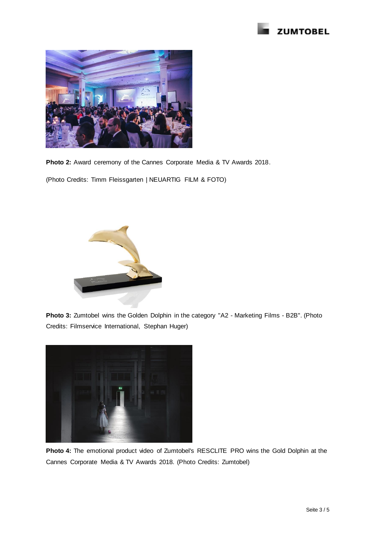



**Photo 2:** Award ceremony of the Cannes Corporate Media & TV Awards 2018.

(Photo Credits: Timm Fleissgarten | NEUARTIG FILM & FOTO)



**Photo 3:** Zumtobel wins the Golden Dolphin in the category "A2 - Marketing Films - B2B". (Photo Credits: Filmservice International, Stephan Huger)



**Photo 4:** The emotional product video of Zumtobel's RESCLITE PRO wins the Gold Dolphin at the Cannes Corporate Media & TV Awards 2018. (Photo Credits: Zumtobel)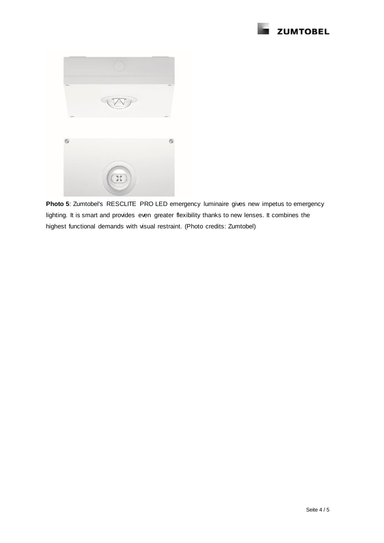



**Photo 5**: Zumtobel's RESCLITE PRO LED emergency luminaire gives new impetus to emergency lighting. It is smart and provides even greater flexibility thanks to new lenses. It combines the highest functional demands with visual restraint. (Photo credits: Zumtobel)